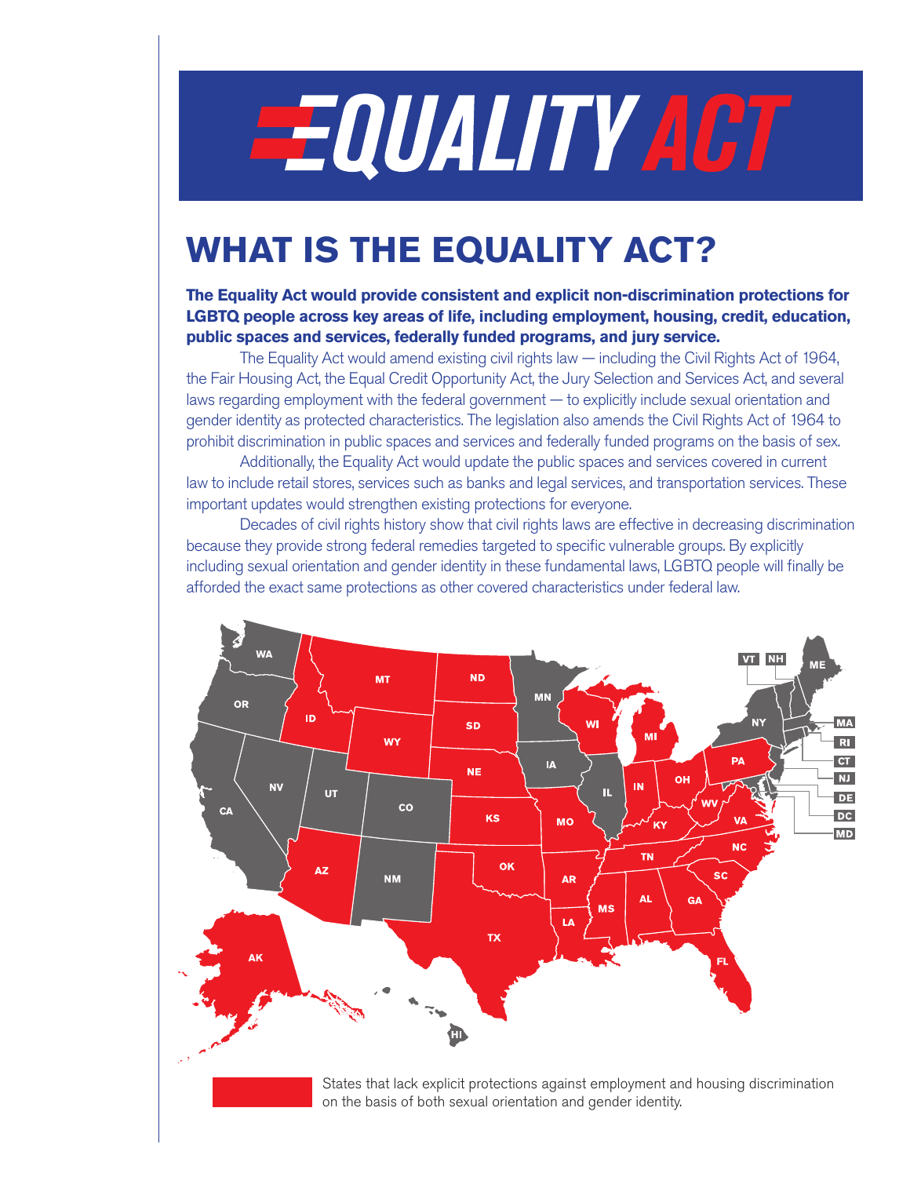# **EQUALITY ACT**

## **WHAT IS THE EQUALITY ACT?**

#### **The Equality Act would provide consistent and explicit non-discrimination protections for LGBTQ people across key areas of life, including employment, housing, credit, education, public spaces and services, federally funded programs, and jury service.**

The Equality Act would amend existing civil rights law — including the Civil Rights Act of 1964, the Fair Housing Act, the Equal Credit Opportunity Act, the Jury Selection and Services Act, and several laws regarding employment with the federal government — to explicitly include sexual orientation and gender identity as protected characteristics. The legislation also amends the Civil Rights Act of 1964 to prohibit discrimination in public spaces and services and federally funded programs on the basis of sex.

Additionally, the Equality Act would update the public spaces and services covered in current law to include retail stores, services such as banks and legal services, and transportation services. These important updates would strengthen existing protections for everyone.

Decades of civil rights history show that civil rights laws are effective in decreasing discrimination because they provide strong federal remedies targeted to specific vulnerable groups. By explicitly including sexual orientation and gender identity in these fundamental laws, LGBTQ people will finally be afforded the exact same protections as other covered characteristics under federal law.



States that lack explicit protections against employment and housing discrimination on the basis of both sexual orientation and gender identity.